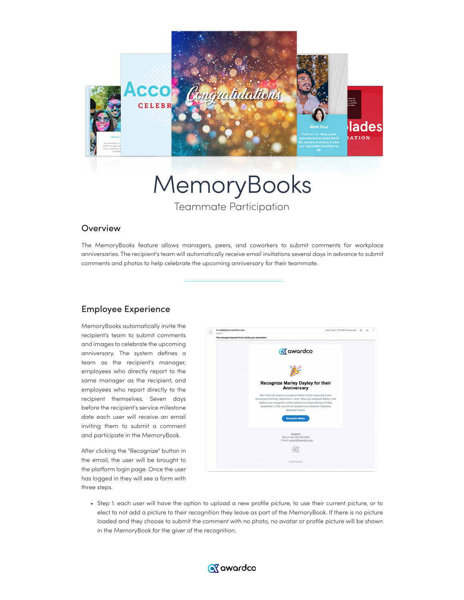

MemoryBooks Teammate Participation

## **Overview**

The MemoryBooks feature allows managers, peers, and coworkers to submit comments for workplace anniversaries. The recipient's team will automatically receive email invitations several days in advance to submit comments and photos to help celebrate the upcoming anniversary for their teammate.

## Employee Experience

MemoryBooks automatically invite the recipient's team to submit comments and images to celebrate the upcoming anniversary. The system defines a team as the recipient's manager, employees who directly report to the same manager as the recipient, and employees who report directly to the recipient themselves. Seven days before the recipient's service milestone date each user will receive an email inviting them to submit a comment and participate in the MemoryBook.

After clicking the "Recognize" button in the email, the user will be brought to the platform login page. Once the user has logged in they will see a form with three steps.



• Step 1: each user will have the option to upload a new profile picture, to use their current picture, or to elect to not add a picture to their recognition they leave as part of the MemoryBook. If there is no picture loaded and they choose to submit the comment with no photo, no avatar or profile picture will be shown in the MemoryBook for the giver of the recognition.